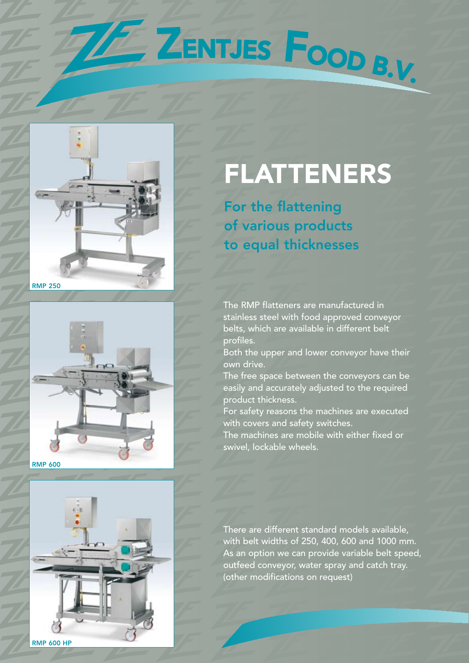





## **FLATTENERS**

For the flattening of various products to equal thicknesses

E ZENTJES FOOD B.V.

The RMP flatteners are manufactured in stainless steel with food approved conveyor belts, which are available in different belt profiles.

Both the upper and lower conveyor have their own drive.

The free space between the conveyors can be easily and accurately adjusted to the required product thickness.

For safety reasons the machines are executed with covers and safety switches.

The machines are mobile with either fixed or swivel, lockable wheels.

There are different standard models available, with belt widths of 250, 400, 600 and 1000 mm. As an option we can provide variable belt speed, outfeed conveyor, water spray and catch tray. (other modifications on request)